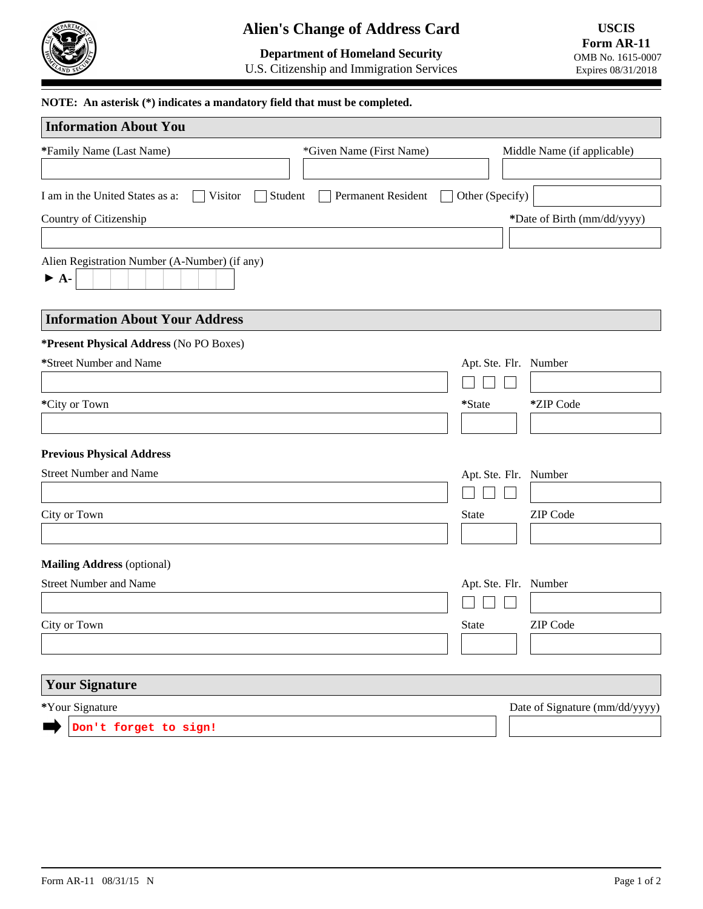

# **Alien's Change of Address Card**

# **Department of Homeland Security**

U.S. Citizenship and Immigration Services

#### **NOTE: An asterisk (\*) indicates a mandatory field that must be completed.**

| <b>Information About You</b>                                              |                          |                                 |
|---------------------------------------------------------------------------|--------------------------|---------------------------------|
| *Family Name (Last Name)                                                  | *Given Name (First Name) | Middle Name (if applicable)     |
|                                                                           |                          |                                 |
| I am in the United States as a:<br>Visitor<br>Student                     | Permanent Resident       | Other (Specify)                 |
| Country of Citizenship                                                    |                          | *Date of Birth (mm/dd/yyyy)     |
|                                                                           |                          |                                 |
| Alien Registration Number (A-Number) (if any)<br>$\blacktriangleright$ A- |                          |                                 |
| <b>Information About Your Address</b>                                     |                          |                                 |
| *Present Physical Address (No PO Boxes)                                   |                          |                                 |
| *Street Number and Name                                                   |                          | Apt. Ste. Flr. Number           |
|                                                                           |                          |                                 |
| *City or Town                                                             |                          | *State<br>*ZIP Code             |
|                                                                           |                          | $\blacktriangledown$            |
| <b>Previous Physical Address</b>                                          |                          |                                 |
| <b>Street Number and Name</b>                                             |                          | Apt. Ste. Flr. Number           |
|                                                                           |                          |                                 |
| City or Town                                                              |                          | <b>ZIP</b> Code<br><b>State</b> |
|                                                                           |                          | $\vert \mathbf{v} \vert$        |
| <b>Mailing Address (optional)</b>                                         |                          |                                 |
| <b>Street Number and Name</b>                                             |                          | Apt. Ste. Flr. Number           |
|                                                                           |                          |                                 |
| City or Town                                                              |                          | <b>ZIP</b> Code<br><b>State</b> |
|                                                                           |                          | $\blacktriangledown$            |
| <b>Your Signature</b>                                                     |                          |                                 |
| *Your Signature                                                           |                          | Date of Signature (mm/dd/yyyy)  |
| Don't forget to sign!                                                     |                          |                                 |